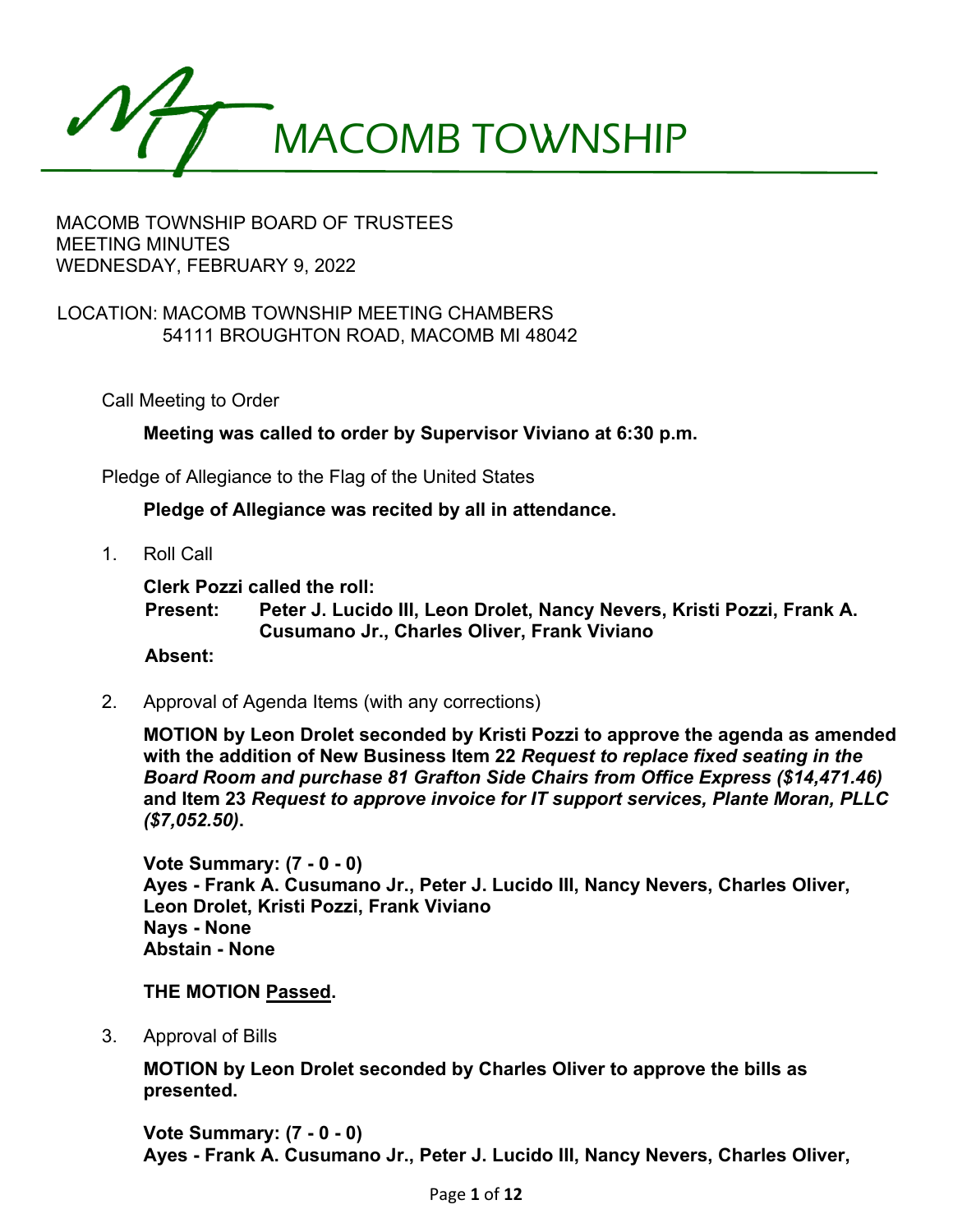

### LOCATION: MACOMB TOWNSHIP MEETING CHAMBERS 54111 BROUGHTON ROAD, MACOMB MI 48042

Call Meeting to Order

**Meeting was called to order by Supervisor Viviano at 6:30 p.m.**

Pledge of Allegiance to the Flag of the United States

**Pledge of Allegiance was recited by all in attendance.**

1. Roll Call

**Clerk Pozzi called the roll:**

**Present: Peter J. Lucido III, Leon Drolet, Nancy Nevers, Kristi Pozzi, Frank A. Cusumano Jr., Charles Oliver, Frank Viviano**

**Absent:**

2. Approval of Agenda Items (with any corrections)

**MOTION by Leon Drolet seconded by Kristi Pozzi to approve the agenda as amended with the addition of New Business Item 22** *Request to replace fixed seating in the Board Room and purchase 81 Grafton Side Chairs from Office Express (\$14,471.46)* **and Item 23** *Request to approve invoice for IT support services, Plante Moran, PLLC (\$7,052.50)***.** 

**Vote Summary: (7 - 0 - 0) Ayes - Frank A. Cusumano Jr., Peter J. Lucido III, Nancy Nevers, Charles Oliver, Leon Drolet, Kristi Pozzi, Frank Viviano Nays - None Abstain - None** 

**THE MOTION Passed.**

3. Approval of Bills

**MOTION by Leon Drolet seconded by Charles Oliver to approve the bills as presented.** 

**Vote Summary: (7 - 0 - 0) Ayes - Frank A. Cusumano Jr., Peter J. Lucido III, Nancy Nevers, Charles Oliver,**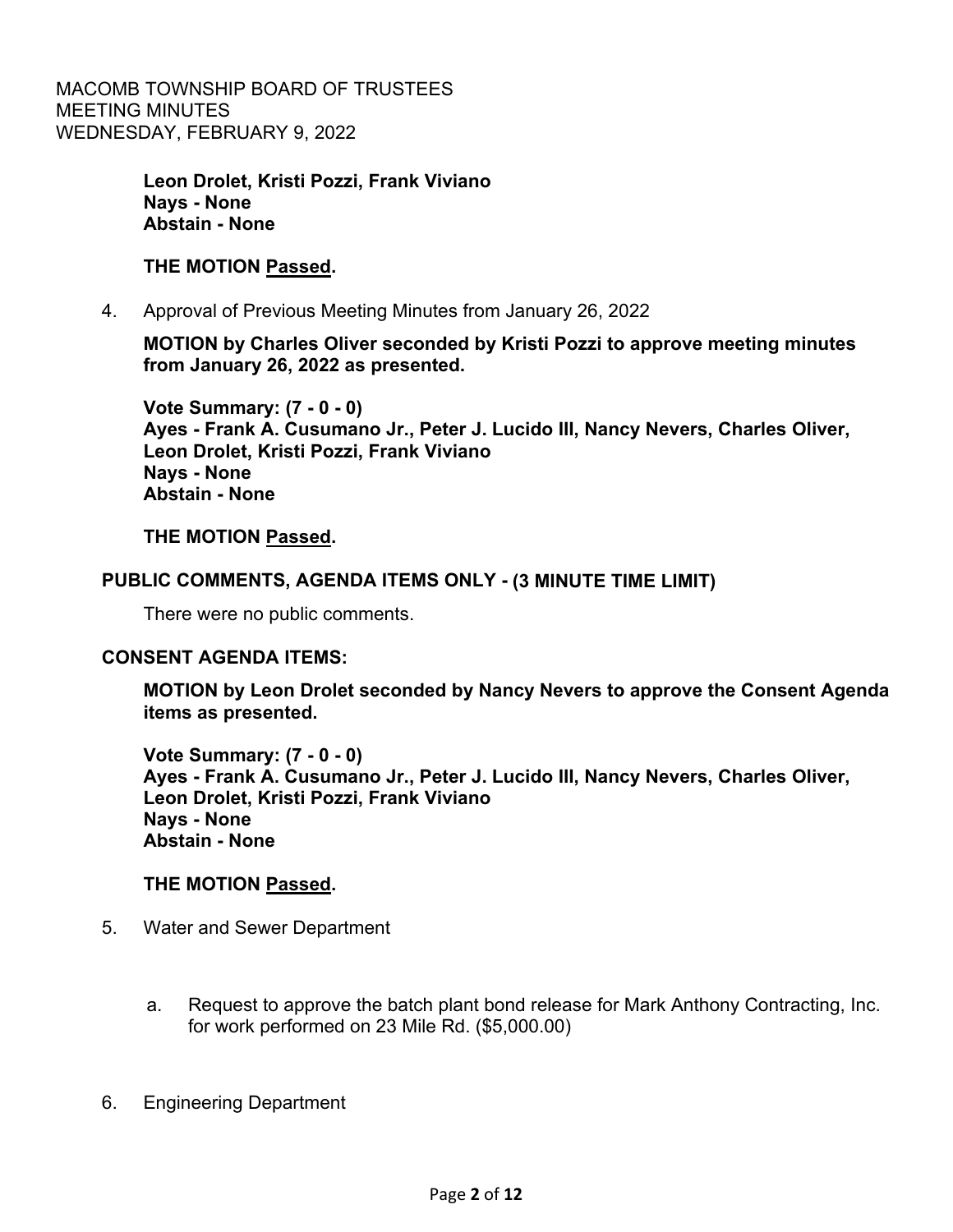> **Leon Drolet, Kristi Pozzi, Frank Viviano Nays - None Abstain - None**

#### **THE MOTION Passed.**

4. Approval of Previous Meeting Minutes from January 26, 2022

**MOTION by Charles Oliver seconded by Kristi Pozzi to approve meeting minutes from January 26, 2022 as presented.** 

**Vote Summary: (7 - 0 - 0) Ayes - Frank A. Cusumano Jr., Peter J. Lucido III, Nancy Nevers, Charles Oliver, Leon Drolet, Kristi Pozzi, Frank Viviano Nays - None Abstain - None** 

#### **THE MOTION Passed.**

#### **PUBLIC COMMENTS, AGENDA ITEMS ONLY - (3 MINUTE TIME LIMIT)**

There were no public comments.

#### **CONSENT AGENDA ITEMS:**

**MOTION by Leon Drolet seconded by Nancy Nevers to approve the Consent Agenda items as presented.** 

**Vote Summary: (7 - 0 - 0) Ayes - Frank A. Cusumano Jr., Peter J. Lucido III, Nancy Nevers, Charles Oliver, Leon Drolet, Kristi Pozzi, Frank Viviano Nays - None Abstain - None** 

#### **THE MOTION Passed.**

- 5. Water and Sewer Department
	- a. Request to approve the batch plant bond release for Mark Anthony Contracting, Inc. for work performed on 23 Mile Rd. (\$5,000.00)
- 6. Engineering Department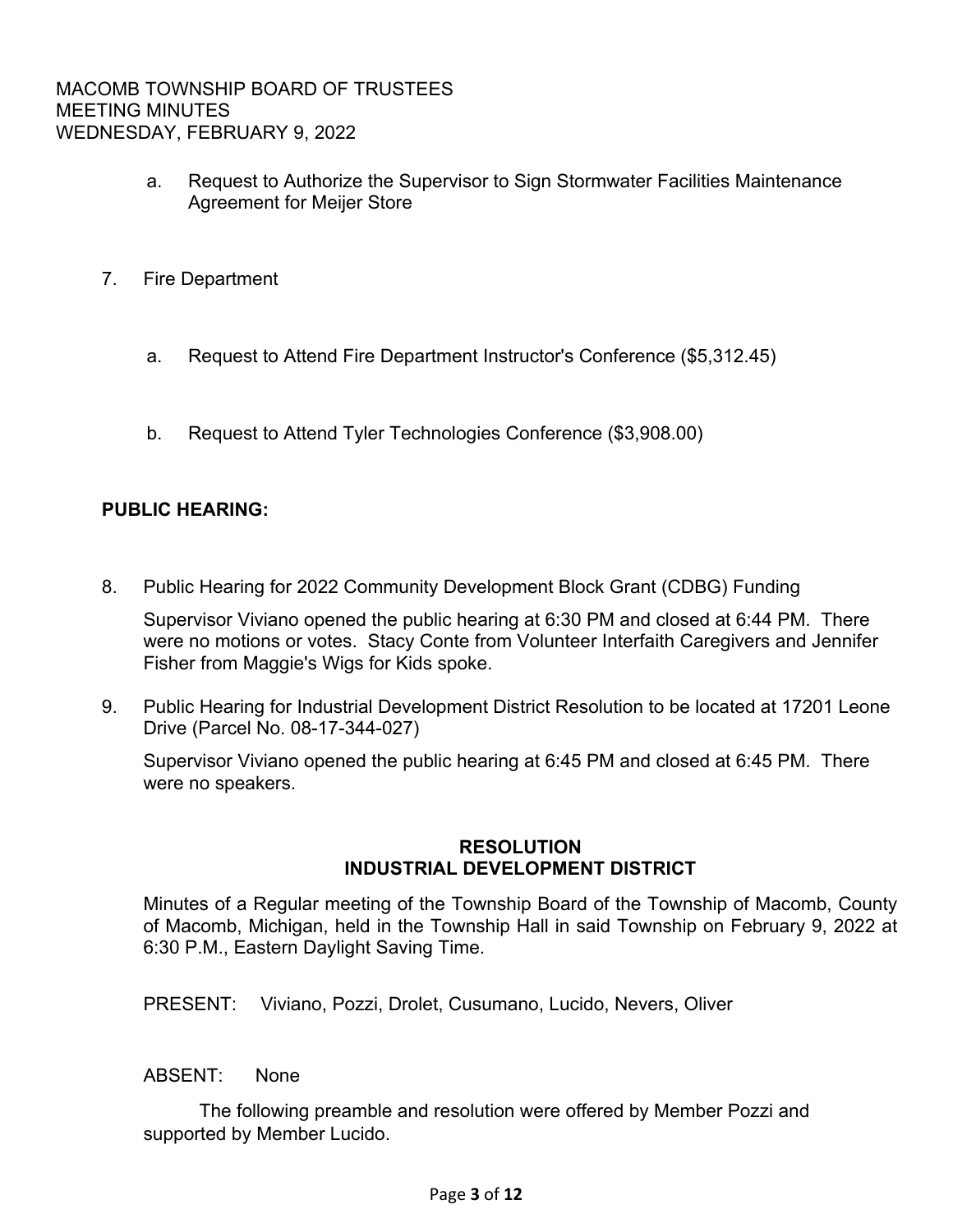- a. Request to Authorize the Supervisor to Sign Stormwater Facilities Maintenance Agreement for Meijer Store
- 7. Fire Department
	- a. Request to Attend Fire Department Instructor's Conference (\$5,312.45)
	- b. Request to Attend Tyler Technologies Conference (\$3,908.00)

# **PUBLIC HEARING:**

8. Public Hearing for 2022 Community Development Block Grant (CDBG) Funding

Supervisor Viviano opened the public hearing at 6:30 PM and closed at 6:44 PM. There were no motions or votes. Stacy Conte from Volunteer Interfaith Caregivers and Jennifer Fisher from Maggie's Wigs for Kids spoke.

 9. Public Hearing for Industrial Development District Resolution to be located at 17201 Leone Drive (Parcel No. 08-17-344-027)

Supervisor Viviano opened the public hearing at 6:45 PM and closed at 6:45 PM. There were no speakers.

## **RESOLUTION INDUSTRIAL DEVELOPMENT DISTRICT**

Minutes of a Regular meeting of the Township Board of the Township of Macomb, County of Macomb, Michigan, held in the Township Hall in said Township on February 9, 2022 at 6:30 P.M., Eastern Daylight Saving Time.

PRESENT: Viviano, Pozzi, Drolet, Cusumano, Lucido, Nevers, Oliver

ABSENT: None

 The following preamble and resolution were offered by Member Pozzi and supported by Member Lucido.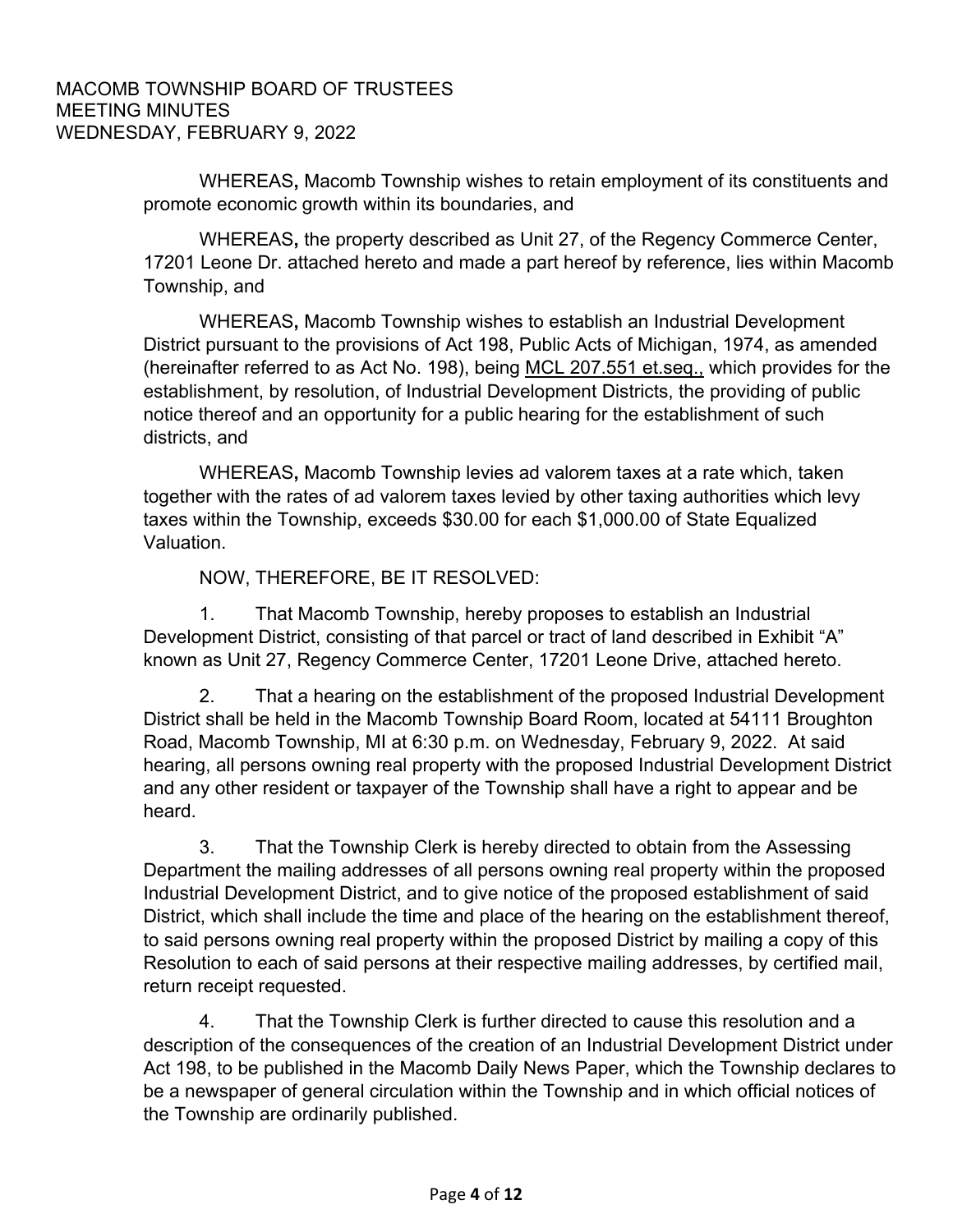WHEREAS**,** Macomb Township wishes to retain employment of its constituents and promote economic growth within its boundaries, and

 WHEREAS**,** the property described as Unit 27, of the Regency Commerce Center, 17201 Leone Dr. attached hereto and made a part hereof by reference, lies within Macomb Township, and

 WHEREAS**,** Macomb Township wishes to establish an Industrial Development District pursuant to the provisions of Act 198, Public Acts of Michigan, 1974, as amended (hereinafter referred to as Act No. 198), being MCL 207.551 et.seq., which provides for the establishment, by resolution, of Industrial Development Districts, the providing of public notice thereof and an opportunity for a public hearing for the establishment of such districts, and

 WHEREAS**,** Macomb Township levies ad valorem taxes at a rate which, taken together with the rates of ad valorem taxes levied by other taxing authorities which levy taxes within the Township, exceeds \$30.00 for each \$1,000.00 of State Equalized Valuation.

NOW, THEREFORE, BE IT RESOLVED:

 1. That Macomb Township, hereby proposes to establish an Industrial Development District, consisting of that parcel or tract of land described in Exhibit "A" known as Unit 27, Regency Commerce Center, 17201 Leone Drive, attached hereto.

 2. That a hearing on the establishment of the proposed Industrial Development District shall be held in the Macomb Township Board Room, located at 54111 Broughton Road, Macomb Township, MI at 6:30 p.m. on Wednesday, February 9, 2022. At said hearing, all persons owning real property with the proposed Industrial Development District and any other resident or taxpayer of the Township shall have a right to appear and be heard.

 3. That the Township Clerk is hereby directed to obtain from the Assessing Department the mailing addresses of all persons owning real property within the proposed Industrial Development District, and to give notice of the proposed establishment of said District, which shall include the time and place of the hearing on the establishment thereof, to said persons owning real property within the proposed District by mailing a copy of this Resolution to each of said persons at their respective mailing addresses, by certified mail, return receipt requested.

 4. That the Township Clerk is further directed to cause this resolution and a description of the consequences of the creation of an Industrial Development District under Act 198, to be published in the Macomb Daily News Paper, which the Township declares to be a newspaper of general circulation within the Township and in which official notices of the Township are ordinarily published.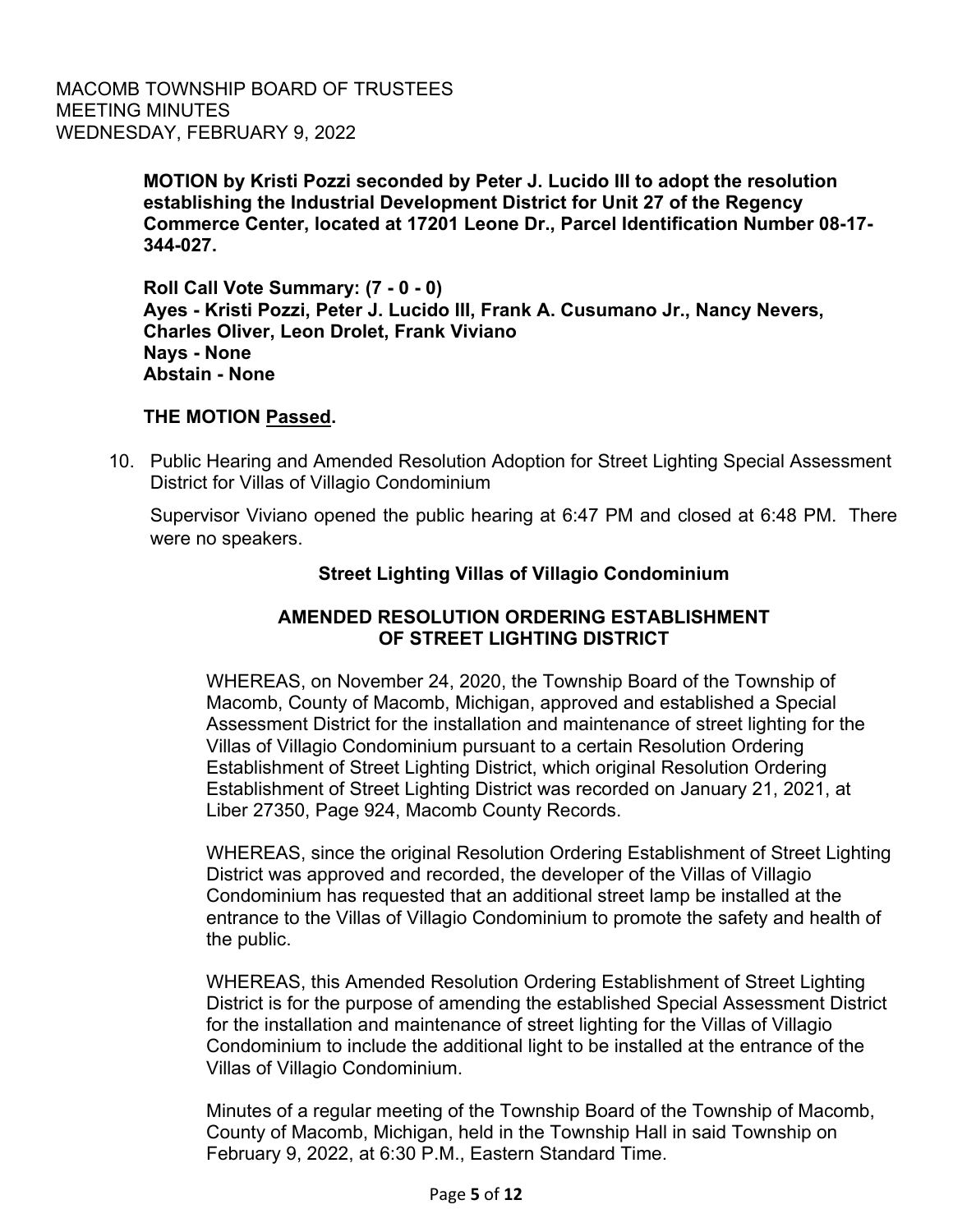> **MOTION by Kristi Pozzi seconded by Peter J. Lucido III to adopt the resolution establishing the Industrial Development District for Unit 27 of the Regency Commerce Center, located at 17201 Leone Dr., Parcel Identification Number 08-17- 344-027.**

**Roll Call Vote Summary: (7 - 0 - 0) Ayes - Kristi Pozzi, Peter J. Lucido III, Frank A. Cusumano Jr., Nancy Nevers, Charles Oliver, Leon Drolet, Frank Viviano Nays - None Abstain - None** 

## **THE MOTION Passed.**

 10. Public Hearing and Amended Resolution Adoption for Street Lighting Special Assessment District for Villas of Villagio Condominium

Supervisor Viviano opened the public hearing at 6:47 PM and closed at 6:48 PM. There were no speakers.

# **Street Lighting Villas of Villagio Condominium**

# **AMENDED RESOLUTION ORDERING ESTABLISHMENT OF STREET LIGHTING DISTRICT**

WHEREAS, on November 24, 2020, the Township Board of the Township of Macomb, County of Macomb, Michigan, approved and established a Special Assessment District for the installation and maintenance of street lighting for the Villas of Villagio Condominium pursuant to a certain Resolution Ordering Establishment of Street Lighting District, which original Resolution Ordering Establishment of Street Lighting District was recorded on January 21, 2021, at Liber 27350, Page 924, Macomb County Records.

WHEREAS, since the original Resolution Ordering Establishment of Street Lighting District was approved and recorded, the developer of the Villas of Villagio Condominium has requested that an additional street lamp be installed at the entrance to the Villas of Villagio Condominium to promote the safety and health of the public.

WHEREAS, this Amended Resolution Ordering Establishment of Street Lighting District is for the purpose of amending the established Special Assessment District for the installation and maintenance of street lighting for the Villas of Villagio Condominium to include the additional light to be installed at the entrance of the Villas of Villagio Condominium.

Minutes of a regular meeting of the Township Board of the Township of Macomb, County of Macomb, Michigan, held in the Township Hall in said Township on February 9, 2022, at 6:30 P.M., Eastern Standard Time.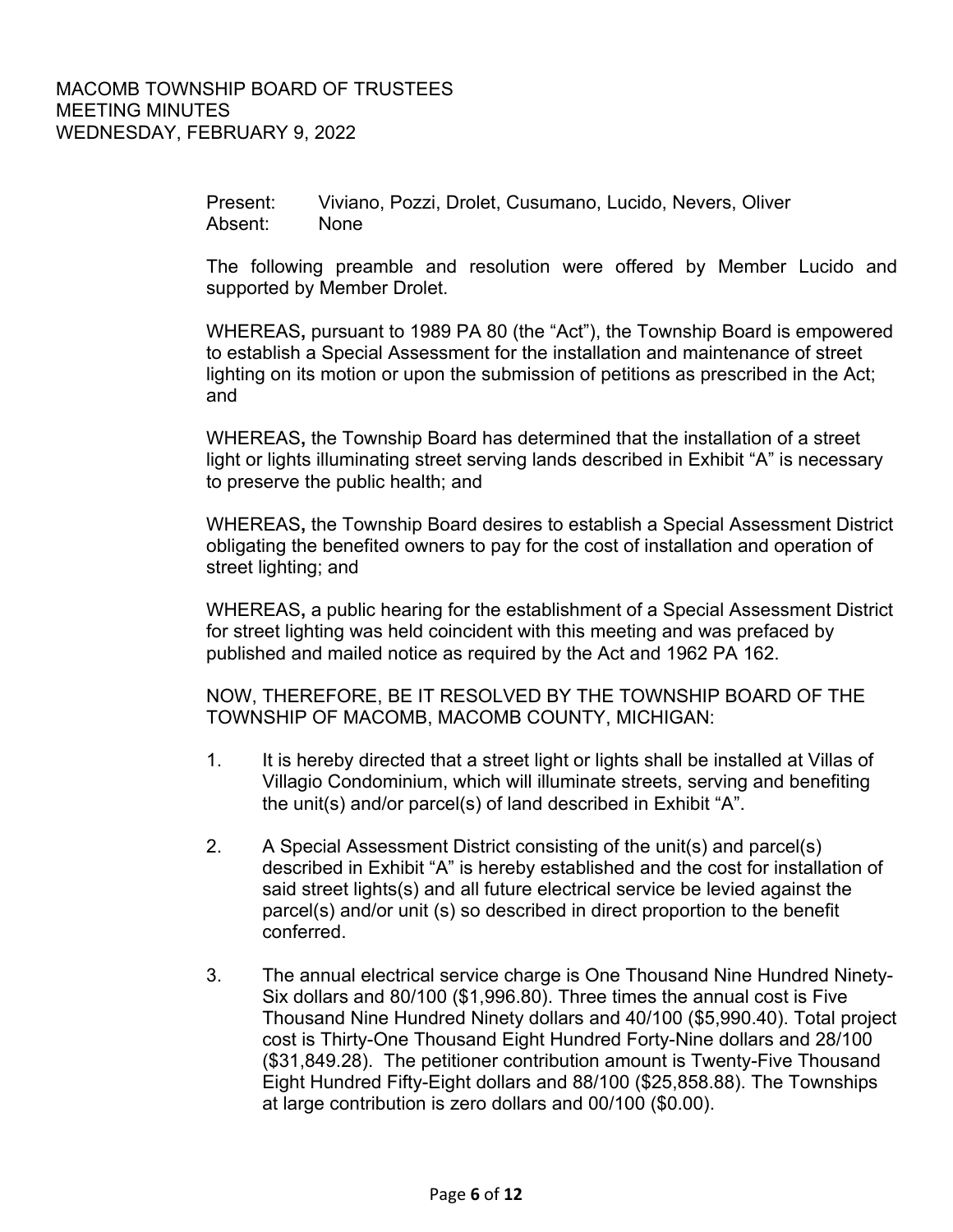Present: Viviano, Pozzi, Drolet, Cusumano, Lucido, Nevers, Oliver Absent: None

The following preamble and resolution were offered by Member Lucido and supported by Member Drolet.

WHEREAS**,** pursuant to 1989 PA 80 (the "Act"), the Township Board is empowered to establish a Special Assessment for the installation and maintenance of street lighting on its motion or upon the submission of petitions as prescribed in the Act; and

WHEREAS**,** the Township Board has determined that the installation of a street light or lights illuminating street serving lands described in Exhibit "A" is necessary to preserve the public health; and

WHEREAS**,** the Township Board desires to establish a Special Assessment District obligating the benefited owners to pay for the cost of installation and operation of street lighting; and

WHEREAS**,** a public hearing for the establishment of a Special Assessment District for street lighting was held coincident with this meeting and was prefaced by published and mailed notice as required by the Act and 1962 PA 162.

NOW, THEREFORE, BE IT RESOLVED BY THE TOWNSHIP BOARD OF THE TOWNSHIP OF MACOMB, MACOMB COUNTY, MICHIGAN:

- 1. It is hereby directed that a street light or lights shall be installed at Villas of Villagio Condominium, which will illuminate streets, serving and benefiting the unit(s) and/or parcel(s) of land described in Exhibit "A".
- 2. A Special Assessment District consisting of the unit(s) and parcel(s) described in Exhibit "A" is hereby established and the cost for installation of said street lights(s) and all future electrical service be levied against the parcel(s) and/or unit (s) so described in direct proportion to the benefit conferred.
- 3. The annual electrical service charge is One Thousand Nine Hundred Ninety-Six dollars and 80/100 (\$1,996.80). Three times the annual cost is Five Thousand Nine Hundred Ninety dollars and 40/100 (\$5,990.40). Total project cost is Thirty-One Thousand Eight Hundred Forty-Nine dollars and 28/100 (\$31,849.28). The petitioner contribution amount is Twenty-Five Thousand Eight Hundred Fifty-Eight dollars and 88/100 (\$25,858.88). The Townships at large contribution is zero dollars and 00/100 (\$0.00).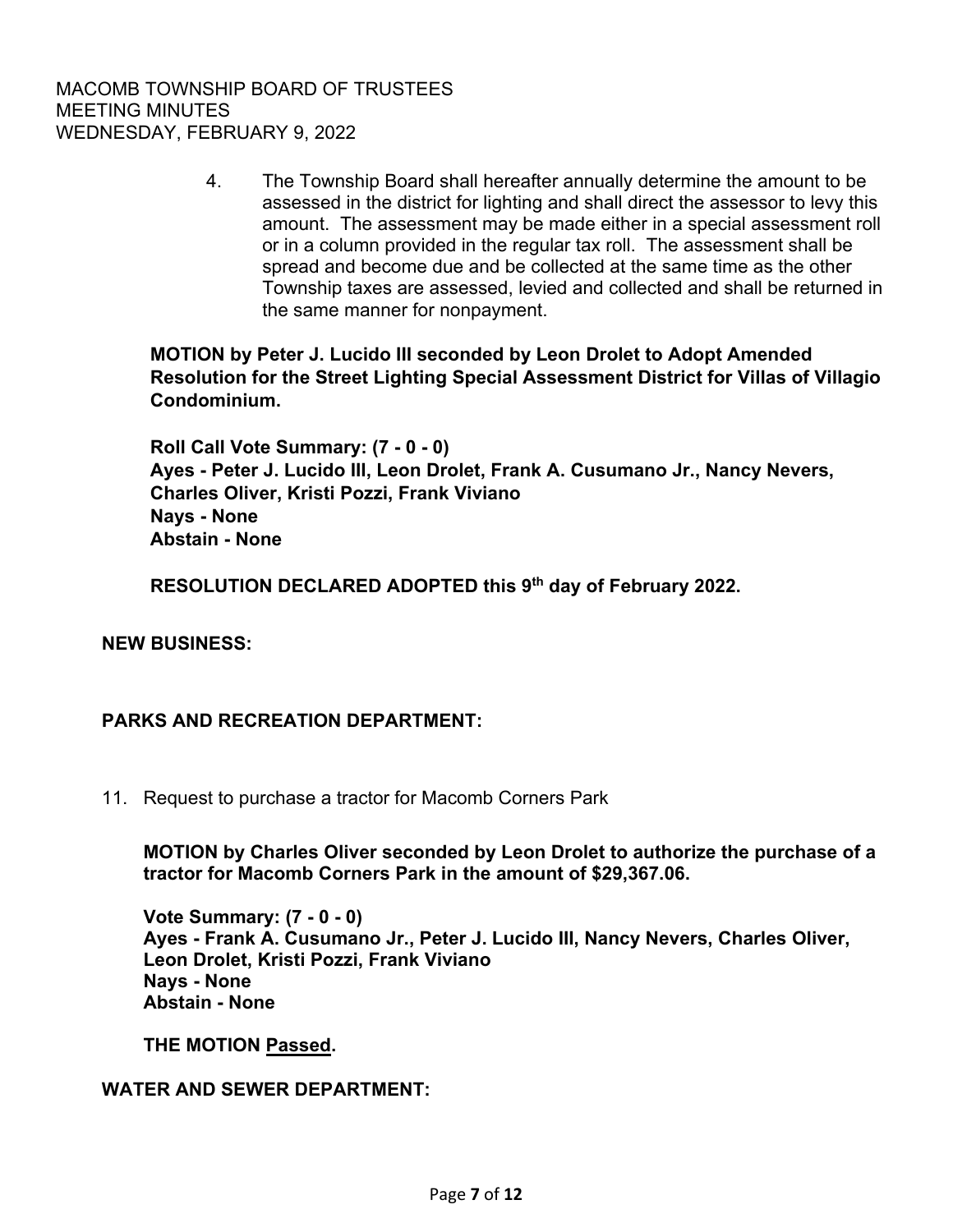4. The Township Board shall hereafter annually determine the amount to be assessed in the district for lighting and shall direct the assessor to levy this amount. The assessment may be made either in a special assessment roll or in a column provided in the regular tax roll. The assessment shall be spread and become due and be collected at the same time as the other Township taxes are assessed, levied and collected and shall be returned in the same manner for nonpayment.

**MOTION by Peter J. Lucido III seconded by Leon Drolet to Adopt Amended Resolution for the Street Lighting Special Assessment District for Villas of Villagio Condominium.** 

**Roll Call Vote Summary: (7 - 0 - 0) Ayes - Peter J. Lucido III, Leon Drolet, Frank A. Cusumano Jr., Nancy Nevers, Charles Oliver, Kristi Pozzi, Frank Viviano Nays - None Abstain - None** 

**RESOLUTION DECLARED ADOPTED this 9th day of February 2022.** 

## **NEW BUSINESS:**

#### **PARKS AND RECREATION DEPARTMENT:**

11. Request to purchase a tractor for Macomb Corners Park

**MOTION by Charles Oliver seconded by Leon Drolet to authorize the purchase of a tractor for Macomb Corners Park in the amount of \$29,367.06.** 

**Vote Summary: (7 - 0 - 0) Ayes - Frank A. Cusumano Jr., Peter J. Lucido III, Nancy Nevers, Charles Oliver, Leon Drolet, Kristi Pozzi, Frank Viviano Nays - None Abstain - None** 

**THE MOTION Passed.**

#### **WATER AND SEWER DEPARTMENT:**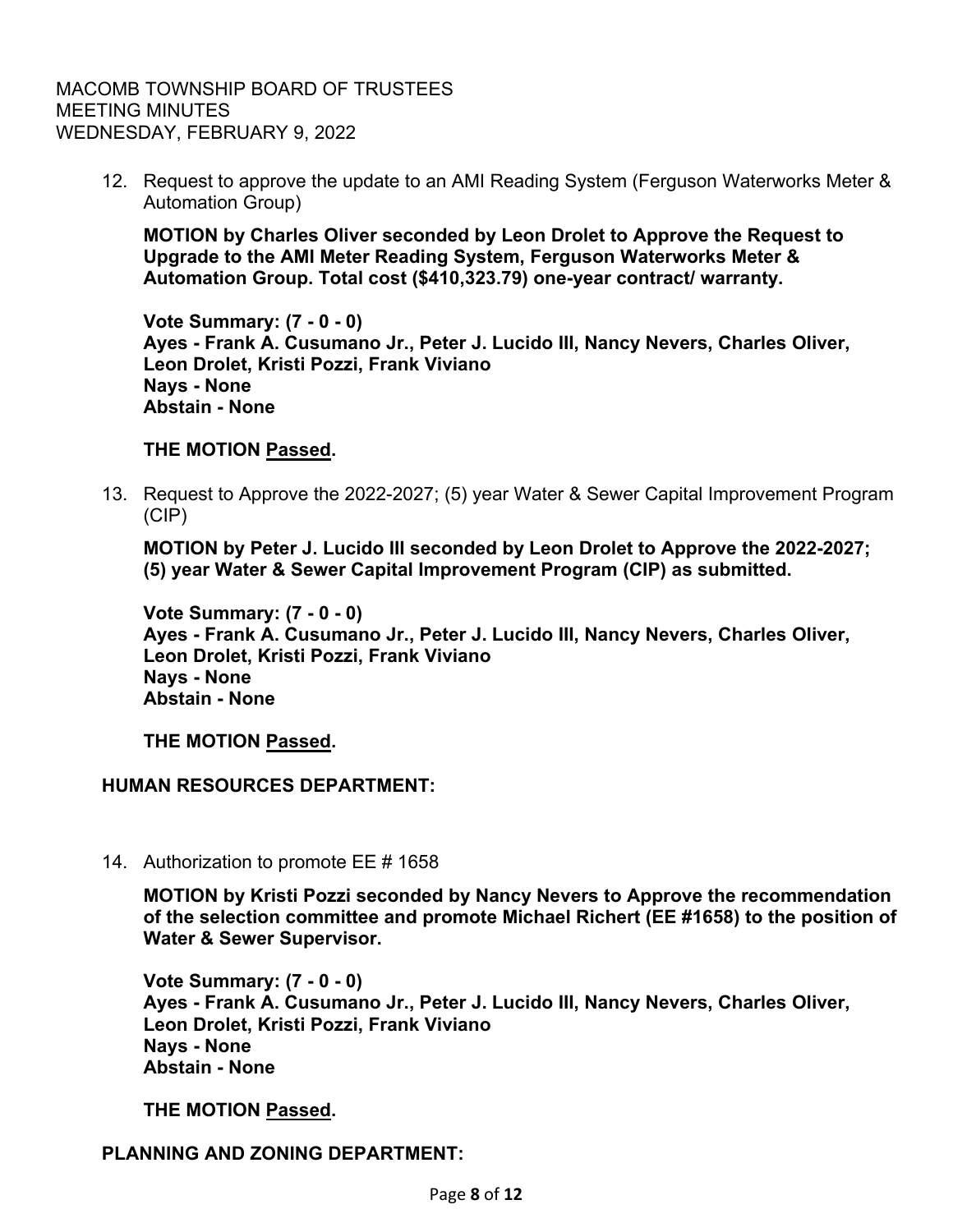12. Request to approve the update to an AMI Reading System (Ferguson Waterworks Meter & Automation Group)

**MOTION by Charles Oliver seconded by Leon Drolet to Approve the Request to Upgrade to the AMI Meter Reading System, Ferguson Waterworks Meter & Automation Group. Total cost (\$410,323.79) one-year contract/ warranty.** 

**Vote Summary: (7 - 0 - 0) Ayes - Frank A. Cusumano Jr., Peter J. Lucido III, Nancy Nevers, Charles Oliver, Leon Drolet, Kristi Pozzi, Frank Viviano Nays - None Abstain - None** 

#### **THE MOTION Passed.**

 13. Request to Approve the 2022-2027; (5) year Water & Sewer Capital Improvement Program (CIP)

**MOTION by Peter J. Lucido III seconded by Leon Drolet to Approve the 2022-2027; (5) year Water & Sewer Capital Improvement Program (CIP) as submitted.** 

**Vote Summary: (7 - 0 - 0) Ayes - Frank A. Cusumano Jr., Peter J. Lucido III, Nancy Nevers, Charles Oliver, Leon Drolet, Kristi Pozzi, Frank Viviano Nays - None Abstain - None** 

**THE MOTION Passed.**

## **HUMAN RESOURCES DEPARTMENT:**

14. Authorization to promote EE # 1658

**MOTION by Kristi Pozzi seconded by Nancy Nevers to Approve the recommendation of the selection committee and promote Michael Richert (EE #1658) to the position of Water & Sewer Supervisor.** 

**Vote Summary: (7 - 0 - 0) Ayes - Frank A. Cusumano Jr., Peter J. Lucido III, Nancy Nevers, Charles Oliver, Leon Drolet, Kristi Pozzi, Frank Viviano Nays - None Abstain - None** 

**THE MOTION Passed.**

## **PLANNING AND ZONING DEPARTMENT:**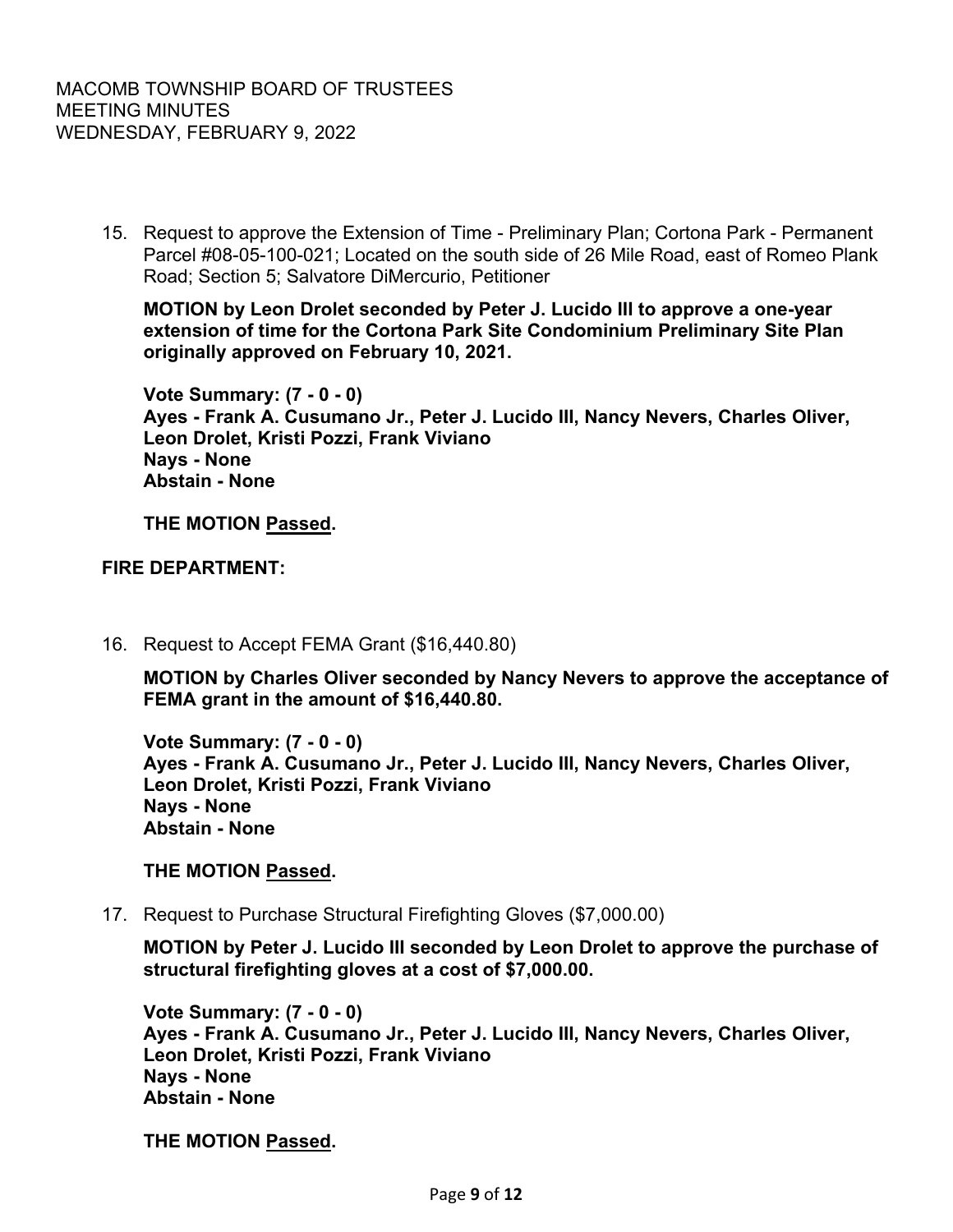15. Request to approve the Extension of Time - Preliminary Plan; Cortona Park - Permanent Parcel #08-05-100-021; Located on the south side of 26 Mile Road, east of Romeo Plank Road; Section 5; Salvatore DiMercurio, Petitioner

**MOTION by Leon Drolet seconded by Peter J. Lucido III to approve a one-year extension of time for the Cortona Park Site Condominium Preliminary Site Plan originally approved on February 10, 2021.** 

**Vote Summary: (7 - 0 - 0) Ayes - Frank A. Cusumano Jr., Peter J. Lucido III, Nancy Nevers, Charles Oliver, Leon Drolet, Kristi Pozzi, Frank Viviano Nays - None Abstain - None** 

**THE MOTION Passed.**

**FIRE DEPARTMENT:**

16. Request to Accept FEMA Grant (\$16,440.80)

**MOTION by Charles Oliver seconded by Nancy Nevers to approve the acceptance of FEMA grant in the amount of \$16,440.80.** 

**Vote Summary: (7 - 0 - 0) Ayes - Frank A. Cusumano Jr., Peter J. Lucido III, Nancy Nevers, Charles Oliver, Leon Drolet, Kristi Pozzi, Frank Viviano Nays - None Abstain - None** 

## **THE MOTION Passed.**

17. Request to Purchase Structural Firefighting Gloves (\$7,000.00)

**MOTION by Peter J. Lucido III seconded by Leon Drolet to approve the purchase of structural firefighting gloves at a cost of \$7,000.00.** 

**Vote Summary: (7 - 0 - 0) Ayes - Frank A. Cusumano Jr., Peter J. Lucido III, Nancy Nevers, Charles Oliver, Leon Drolet, Kristi Pozzi, Frank Viviano Nays - None Abstain - None** 

**THE MOTION Passed.**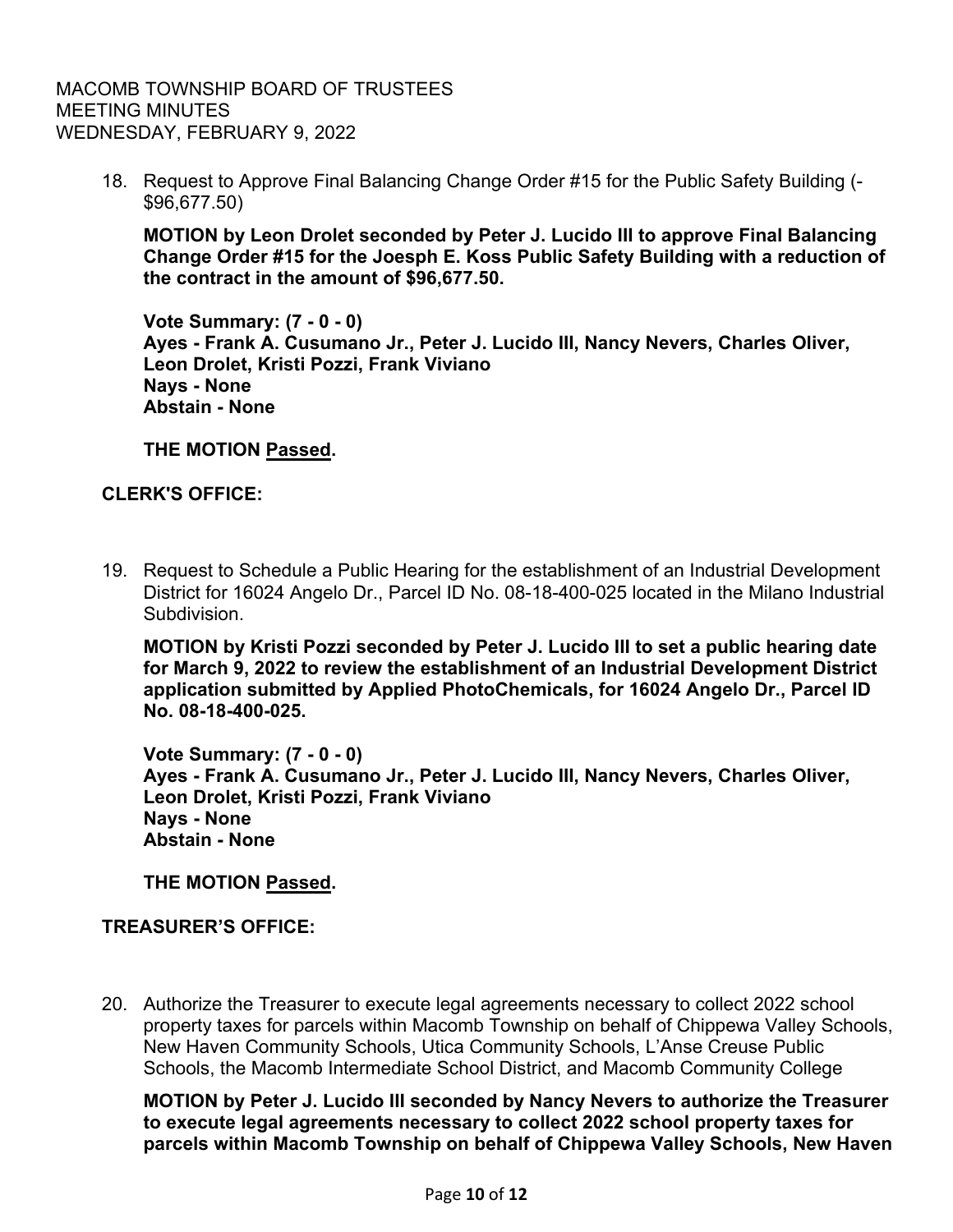18. Request to Approve Final Balancing Change Order #15 for the Public Safety Building (- \$96,677.50)

**MOTION by Leon Drolet seconded by Peter J. Lucido III to approve Final Balancing Change Order #15 for the Joesph E. Koss Public Safety Building with a reduction of the contract in the amount of \$96,677.50.** 

**Vote Summary: (7 - 0 - 0) Ayes - Frank A. Cusumano Jr., Peter J. Lucido III, Nancy Nevers, Charles Oliver, Leon Drolet, Kristi Pozzi, Frank Viviano Nays - None Abstain - None** 

**THE MOTION Passed.**

## **CLERK'S OFFICE:**

19. Request to Schedule a Public Hearing for the establishment of an Industrial Development District for 16024 Angelo Dr., Parcel ID No. 08-18-400-025 located in the Milano Industrial Subdivision.

**MOTION by Kristi Pozzi seconded by Peter J. Lucido III to set a public hearing date for March 9, 2022 to review the establishment of an Industrial Development District application submitted by Applied PhotoChemicals, for 16024 Angelo Dr., Parcel ID No. 08-18-400-025.** 

**Vote Summary: (7 - 0 - 0) Ayes - Frank A. Cusumano Jr., Peter J. Lucido III, Nancy Nevers, Charles Oliver, Leon Drolet, Kristi Pozzi, Frank Viviano Nays - None Abstain - None** 

**THE MOTION Passed.**

## **TREASURER'S OFFICE:**

20. Authorize the Treasurer to execute legal agreements necessary to collect 2022 school property taxes for parcels within Macomb Township on behalf of Chippewa Valley Schools, New Haven Community Schools, Utica Community Schools, L'Anse Creuse Public Schools, the Macomb Intermediate School District, and Macomb Community College

**MOTION by Peter J. Lucido III seconded by Nancy Nevers to authorize the Treasurer to execute legal agreements necessary to collect 2022 school property taxes for parcels within Macomb Township on behalf of Chippewa Valley Schools, New Haven**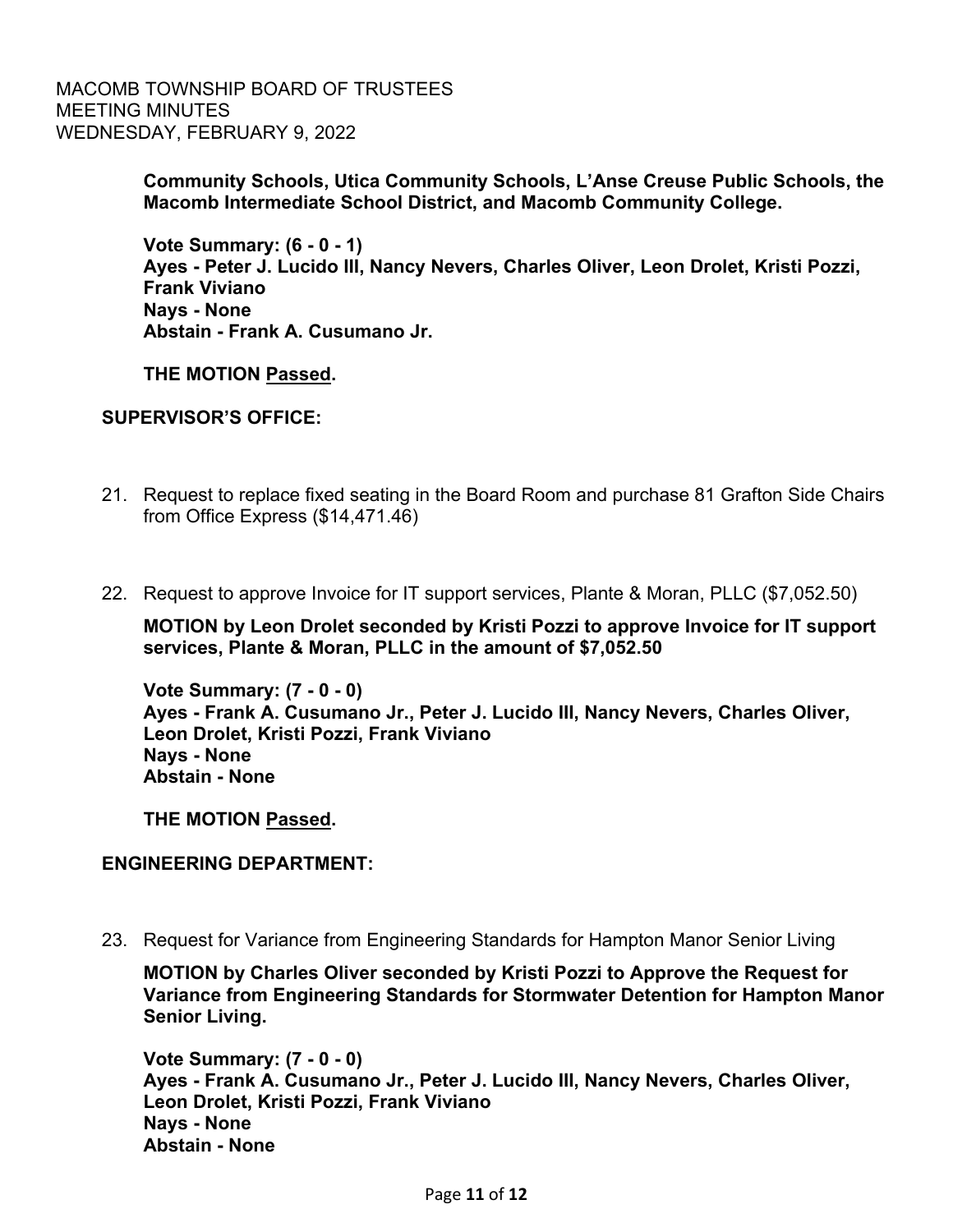> **Community Schools, Utica Community Schools, L'Anse Creuse Public Schools, the Macomb Intermediate School District, and Macomb Community College.**

**Vote Summary: (6 - 0 - 1) Ayes - Peter J. Lucido III, Nancy Nevers, Charles Oliver, Leon Drolet, Kristi Pozzi, Frank Viviano Nays - None Abstain - Frank A. Cusumano Jr.** 

**THE MOTION Passed.**

## **SUPERVISOR'S OFFICE:**

- 21. Request to replace fixed seating in the Board Room and purchase 81 Grafton Side Chairs from Office Express (\$14,471.46)
- 22. Request to approve Invoice for IT support services, Plante & Moran, PLLC (\$7,052.50)

**MOTION by Leon Drolet seconded by Kristi Pozzi to approve Invoice for IT support services, Plante & Moran, PLLC in the amount of \$7,052.50** 

**Vote Summary: (7 - 0 - 0) Ayes - Frank A. Cusumano Jr., Peter J. Lucido III, Nancy Nevers, Charles Oliver, Leon Drolet, Kristi Pozzi, Frank Viviano Nays - None Abstain - None** 

**THE MOTION Passed.**

## **ENGINEERING DEPARTMENT:**

23. Request for Variance from Engineering Standards for Hampton Manor Senior Living

**MOTION by Charles Oliver seconded by Kristi Pozzi to Approve the Request for Variance from Engineering Standards for Stormwater Detention for Hampton Manor Senior Living.** 

**Vote Summary: (7 - 0 - 0) Ayes - Frank A. Cusumano Jr., Peter J. Lucido III, Nancy Nevers, Charles Oliver, Leon Drolet, Kristi Pozzi, Frank Viviano Nays - None Abstain - None**